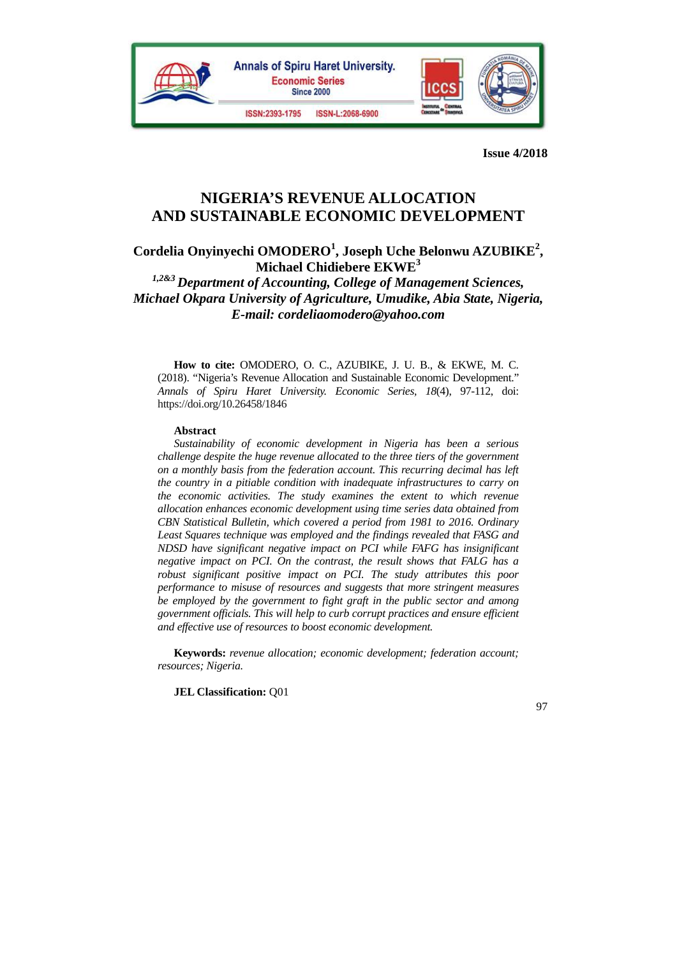

# **NIGERIA'S REVENUE ALLOCATION AND SUSTAINABLE ECONOMIC DEVELOPMENT**

Cordelia Onyinyechi OMODERO<sup>1</sup>, Joseph Uche Belonwu AZUBIKE<sup>2</sup>, **Michael Chidiebere EKWE3**

*1,2&3 Department of Accounting, College of Management Sciences, Michael Okpara University of Agriculture, Umudike, Abia State, Nigeria, E-mail: cordeliaomodero@yahoo.com*

**How to cite:** OMODERO, O. C., AZUBIKE, J. U. B., & EKWE, M. C. (2018). "Nigeria's Revenue Allocation and Sustainable Economic Development." *Annals of Spiru Haret University. Economic Series, 18*(4), 97-112, doi: https://doi.org/10.26458/1846

#### **Abstract**

*Sustainability of economic development in Nigeria has been a serious challenge despite the huge revenue allocated to the three tiers of the government on a monthly basis from the federation account. This recurring decimal has left the country in a pitiable condition with inadequate infrastructures to carry on the economic activities. The study examines the extent to which revenue allocation enhances economic development using time series data obtained from CBN Statistical Bulletin, which covered a period from 1981 to 2016. Ordinary Least Squares technique was employed and the findings revealed that FASG and NDSD have significant negative impact on PCI while FAFG has insignificant negative impact on PCI. On the contrast, the result shows that FALG has a robust significant positive impact on PCI. The study attributes this poor performance to misuse of resources and suggests that more stringent measures be employed by the government to fight graft in the public sector and among government officials. This will help to curb corrupt practices and ensure efficient and effective use of resources to boost economic development.* 

**Keywords:** *revenue allocation; economic development; federation account; resources; Nigeria.* 

**JEL Classification:** Q01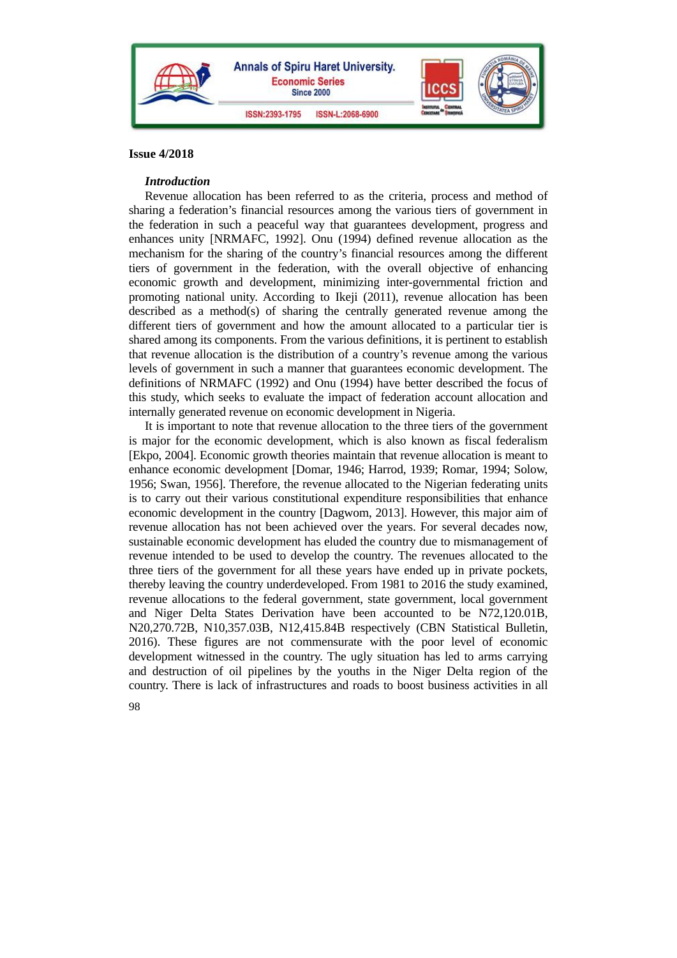

## *Introduction*

Revenue allocation has been referred to as the criteria, process and method of sharing a federation's financial resources among the various tiers of government in the federation in such a peaceful way that guarantees development, progress and enhances unity [NRMAFC, 1992]. Onu (1994) defined revenue allocation as the mechanism for the sharing of the country's financial resources among the different tiers of government in the federation, with the overall objective of enhancing economic growth and development, minimizing inter-governmental friction and promoting national unity. According to Ikeji (2011), revenue allocation has been described as a method(s) of sharing the centrally generated revenue among the different tiers of government and how the amount allocated to a particular tier is shared among its components. From the various definitions, it is pertinent to establish that revenue allocation is the distribution of a country's revenue among the various levels of government in such a manner that guarantees economic development. The definitions of NRMAFC (1992) and Onu (1994) have better described the focus of this study, which seeks to evaluate the impact of federation account allocation and internally generated revenue on economic development in Nigeria.

It is important to note that revenue allocation to the three tiers of the government is major for the economic development, which is also known as fiscal federalism [Ekpo, 2004]. Economic growth theories maintain that revenue allocation is meant to enhance economic development [Domar, 1946; Harrod, 1939; Romar, 1994; Solow, 1956; Swan, 1956]. Therefore, the revenue allocated to the Nigerian federating units is to carry out their various constitutional expenditure responsibilities that enhance economic development in the country [Dagwom, 2013]. However, this major aim of revenue allocation has not been achieved over the years. For several decades now, sustainable economic development has eluded the country due to mismanagement of revenue intended to be used to develop the country. The revenues allocated to the three tiers of the government for all these years have ended up in private pockets, thereby leaving the country underdeveloped. From 1981 to 2016 the study examined, revenue allocations to the federal government, state government, local government and Niger Delta States Derivation have been accounted to be N72,120.01B, N20,270.72B, N10,357.03B, N12,415.84B respectively (CBN Statistical Bulletin, 2016). These figures are not commensurate with the poor level of economic development witnessed in the country. The ugly situation has led to arms carrying and destruction of oil pipelines by the youths in the Niger Delta region of the country. There is lack of infrastructures and roads to boost business activities in all

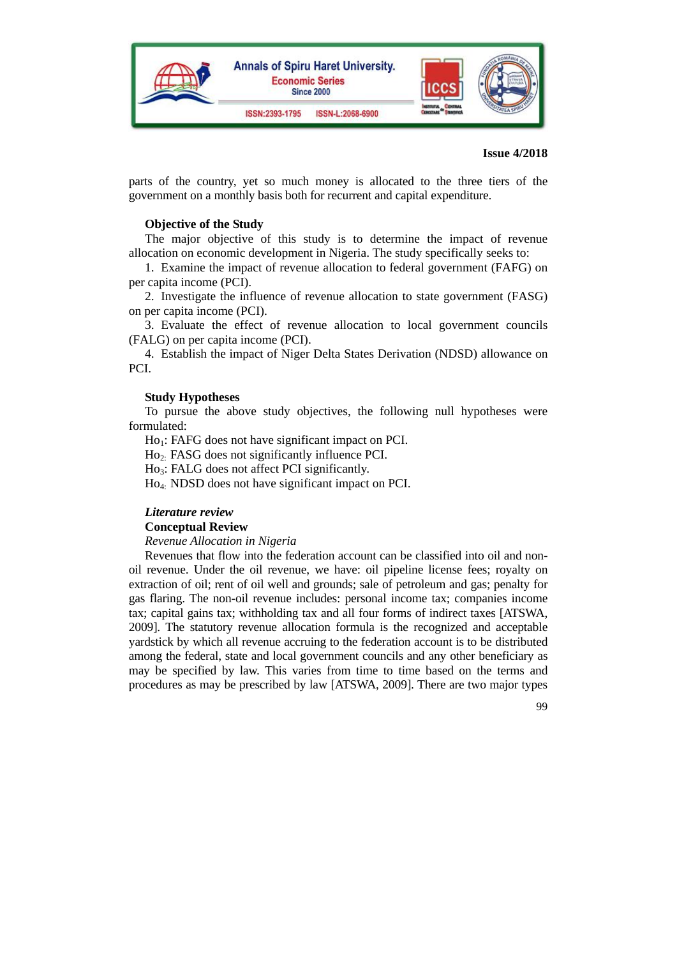

parts of the country, yet so much money is allocated to the three tiers of the government on a monthly basis both for recurrent and capital expenditure.

## **Objective of the Study**

The major objective of this study is to determine the impact of revenue allocation on economic development in Nigeria. The study specifically seeks to:

1. Examine the impact of revenue allocation to federal government (FAFG) on per capita income (PCI).

2. Investigate the influence of revenue allocation to state government (FASG) on per capita income (PCI).

3. Evaluate the effect of revenue allocation to local government councils (FALG) on per capita income (PCI).

4. Establish the impact of Niger Delta States Derivation (NDSD) allowance on PCI.

#### **Study Hypotheses**

To pursue the above study objectives, the following null hypotheses were formulated:

 $Ho_1$ : FAFG does not have significant impact on PCI.

Ho2: FASG does not significantly influence PCI.

Ho<sub>3</sub>: FALG does not affect PCI significantly.

Ho4: NDSD does not have significant impact on PCI.

#### *Literature review*

#### **Conceptual Review**

*Revenue Allocation in Nigeria* 

Revenues that flow into the federation account can be classified into oil and nonoil revenue. Under the oil revenue, we have: oil pipeline license fees; royalty on extraction of oil; rent of oil well and grounds; sale of petroleum and gas; penalty for gas flaring. The non-oil revenue includes: personal income tax; companies income tax; capital gains tax; withholding tax and all four forms of indirect taxes [ATSWA, 2009]. The statutory revenue allocation formula is the recognized and acceptable yardstick by which all revenue accruing to the federation account is to be distributed among the federal, state and local government councils and any other beneficiary as may be specified by law. This varies from time to time based on the terms and procedures as may be prescribed by law [ATSWA, 2009]. There are two major types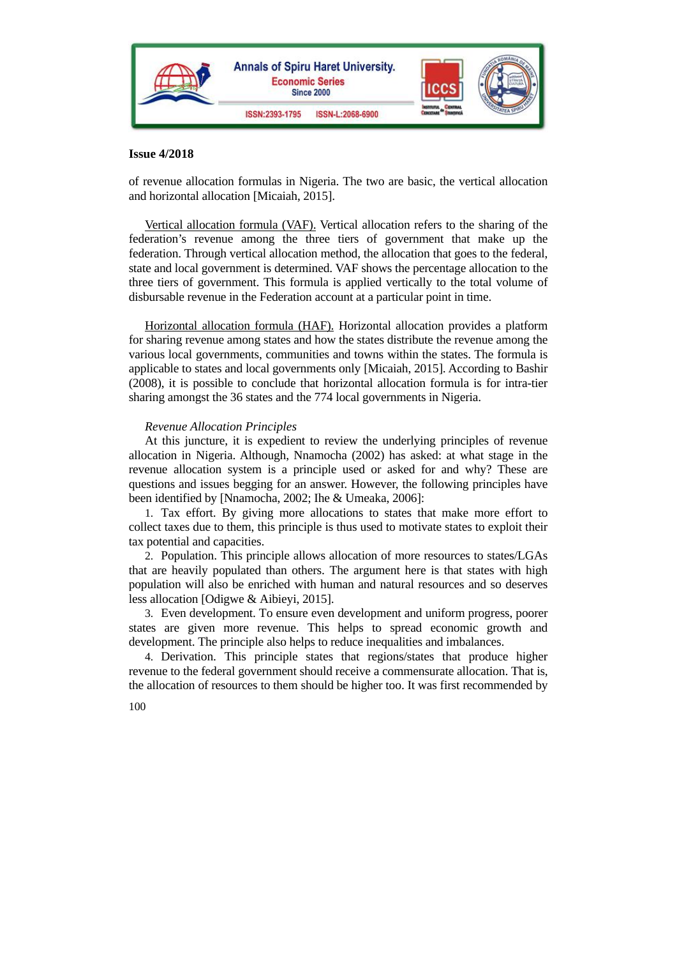

of revenue allocation formulas in Nigeria. The two are basic, the vertical allocation and horizontal allocation [Micaiah, 2015].

Vertical allocation formula (VAF). Vertical allocation refers to the sharing of the federation's revenue among the three tiers of government that make up the federation. Through vertical allocation method, the allocation that goes to the federal, state and local government is determined. VAF shows the percentage allocation to the three tiers of government. This formula is applied vertically to the total volume of disbursable revenue in the Federation account at a particular point in time.

Horizontal allocation formula (HAF). Horizontal allocation provides a platform for sharing revenue among states and how the states distribute the revenue among the various local governments, communities and towns within the states. The formula is applicable to states and local governments only [Micaiah, 2015]. According to Bashir (2008), it is possible to conclude that horizontal allocation formula is for intra-tier sharing amongst the 36 states and the 774 local governments in Nigeria.

## *Revenue Allocation Principles*

At this juncture, it is expedient to review the underlying principles of revenue allocation in Nigeria. Although, Nnamocha (2002) has asked: at what stage in the revenue allocation system is a principle used or asked for and why? These are questions and issues begging for an answer. However, the following principles have been identified by [Nnamocha, 2002; Ihe & Umeaka, 2006]:

1. Tax effort. By giving more allocations to states that make more effort to collect taxes due to them, this principle is thus used to motivate states to exploit their tax potential and capacities.

2. Population. This principle allows allocation of more resources to states/LGAs that are heavily populated than others. The argument here is that states with high population will also be enriched with human and natural resources and so deserves less allocation [Odigwe & Aibieyi, 2015].

3. Even development. To ensure even development and uniform progress, poorer states are given more revenue. This helps to spread economic growth and development. The principle also helps to reduce inequalities and imbalances.

4. Derivation. This principle states that regions/states that produce higher revenue to the federal government should receive a commensurate allocation. That is, the allocation of resources to them should be higher too. It was first recommended by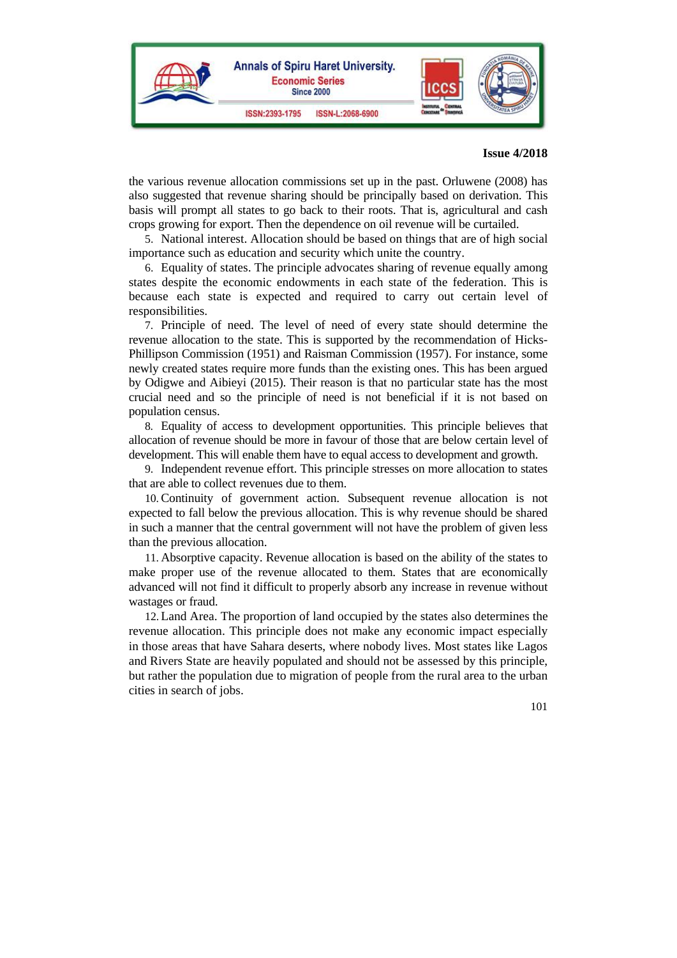

the various revenue allocation commissions set up in the past. Orluwene (2008) has also suggested that revenue sharing should be principally based on derivation. This basis will prompt all states to go back to their roots. That is, agricultural and cash crops growing for export. Then the dependence on oil revenue will be curtailed.

5. National interest. Allocation should be based on things that are of high social importance such as education and security which unite the country.

6. Equality of states. The principle advocates sharing of revenue equally among states despite the economic endowments in each state of the federation. This is because each state is expected and required to carry out certain level of responsibilities.

7. Principle of need. The level of need of every state should determine the revenue allocation to the state. This is supported by the recommendation of Hicks-Phillipson Commission (1951) and Raisman Commission (1957). For instance, some newly created states require more funds than the existing ones. This has been argued by Odigwe and Aibieyi (2015). Their reason is that no particular state has the most crucial need and so the principle of need is not beneficial if it is not based on population census.

8. Equality of access to development opportunities. This principle believes that allocation of revenue should be more in favour of those that are below certain level of development. This will enable them have to equal access to development and growth.

9. Independent revenue effort. This principle stresses on more allocation to states that are able to collect revenues due to them.

10.Continuity of government action. Subsequent revenue allocation is not expected to fall below the previous allocation. This is why revenue should be shared in such a manner that the central government will not have the problem of given less than the previous allocation.

11. Absorptive capacity. Revenue allocation is based on the ability of the states to make proper use of the revenue allocated to them. States that are economically advanced will not find it difficult to properly absorb any increase in revenue without wastages or fraud.

12.Land Area. The proportion of land occupied by the states also determines the revenue allocation. This principle does not make any economic impact especially in those areas that have Sahara deserts, where nobody lives. Most states like Lagos and Rivers State are heavily populated and should not be assessed by this principle, but rather the population due to migration of people from the rural area to the urban cities in search of jobs.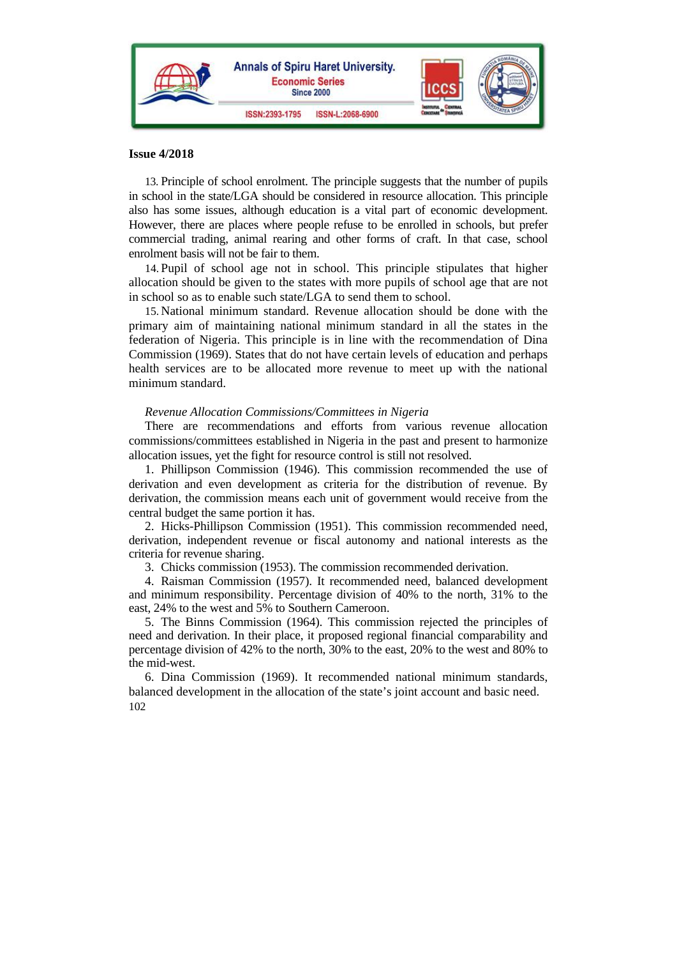

13. Principle of school enrolment. The principle suggests that the number of pupils in school in the state/LGA should be considered in resource allocation. This principle also has some issues, although education is a vital part of economic development. However, there are places where people refuse to be enrolled in schools, but prefer commercial trading, animal rearing and other forms of craft. In that case, school enrolment basis will not be fair to them.

14. Pupil of school age not in school. This principle stipulates that higher allocation should be given to the states with more pupils of school age that are not in school so as to enable such state/LGA to send them to school.

15. National minimum standard. Revenue allocation should be done with the primary aim of maintaining national minimum standard in all the states in the federation of Nigeria. This principle is in line with the recommendation of Dina Commission (1969). States that do not have certain levels of education and perhaps health services are to be allocated more revenue to meet up with the national minimum standard.

#### *Revenue Allocation Commissions/Committees in Nigeria*

There are recommendations and efforts from various revenue allocation commissions/committees established in Nigeria in the past and present to harmonize allocation issues, yet the fight for resource control is still not resolved.

1. Phillipson Commission (1946). This commission recommended the use of derivation and even development as criteria for the distribution of revenue. By derivation, the commission means each unit of government would receive from the central budget the same portion it has.

2. Hicks-Phillipson Commission (1951). This commission recommended need, derivation, independent revenue or fiscal autonomy and national interests as the criteria for revenue sharing.

3. Chicks commission (1953). The commission recommended derivation.

4. Raisman Commission (1957). It recommended need, balanced development and minimum responsibility. Percentage division of 40% to the north, 31% to the east, 24% to the west and 5% to Southern Cameroon.

5. The Binns Commission (1964). This commission rejected the principles of need and derivation. In their place, it proposed regional financial comparability and percentage division of 42% to the north, 30% to the east, 20% to the west and 80% to the mid-west.

102 6. Dina Commission (1969). It recommended national minimum standards, balanced development in the allocation of the state's joint account and basic need.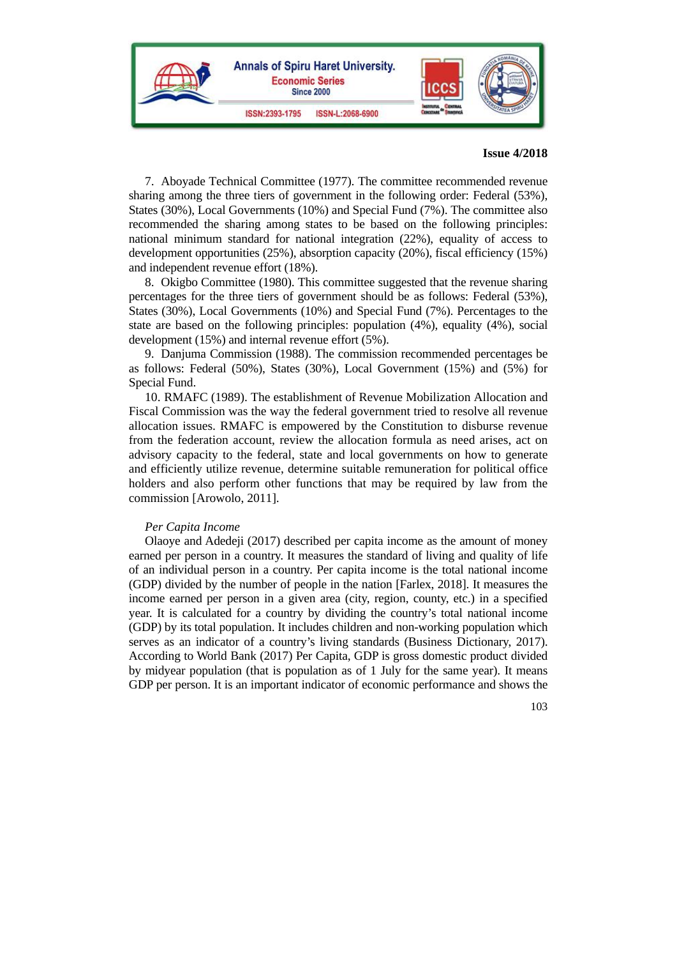

7. Aboyade Technical Committee (1977). The committee recommended revenue sharing among the three tiers of government in the following order: Federal (53%), States (30%), Local Governments (10%) and Special Fund (7%). The committee also recommended the sharing among states to be based on the following principles: national minimum standard for national integration (22%), equality of access to development opportunities (25%), absorption capacity (20%), fiscal efficiency (15%) and independent revenue effort (18%).

8. Okigbo Committee (1980). This committee suggested that the revenue sharing percentages for the three tiers of government should be as follows: Federal (53%), States (30%), Local Governments (10%) and Special Fund (7%). Percentages to the state are based on the following principles: population (4%), equality (4%), social development (15%) and internal revenue effort (5%).

9. Danjuma Commission (1988). The commission recommended percentages be as follows: Federal (50%), States (30%), Local Government (15%) and (5%) for Special Fund.

10. RMAFC (1989). The establishment of Revenue Mobilization Allocation and Fiscal Commission was the way the federal government tried to resolve all revenue allocation issues. RMAFC is empowered by the Constitution to disburse revenue from the federation account, review the allocation formula as need arises, act on advisory capacity to the federal, state and local governments on how to generate and efficiently utilize revenue, determine suitable remuneration for political office holders and also perform other functions that may be required by law from the commission [Arowolo, 2011].

#### *Per Capita Income*

Olaoye and Adedeji (2017) described per capita income as the amount of money earned per person in a country. It measures the standard of living and quality of life of an individual person in a country. Per capita income is the total national income (GDP) divided by the number of people in the nation [Farlex, 2018]. It measures the income earned per person in a given area (city, region, county, etc.) in a specified year. It is calculated for a country by dividing the country's total national income (GDP) by its total population. It includes children and non-working population which serves as an indicator of a country's living standards (Business Dictionary, 2017). According to World Bank (2017) Per Capita, GDP is gross domestic product divided by midyear population (that is population as of 1 July for the same year). It means GDP per person. It is an important indicator of economic performance and shows the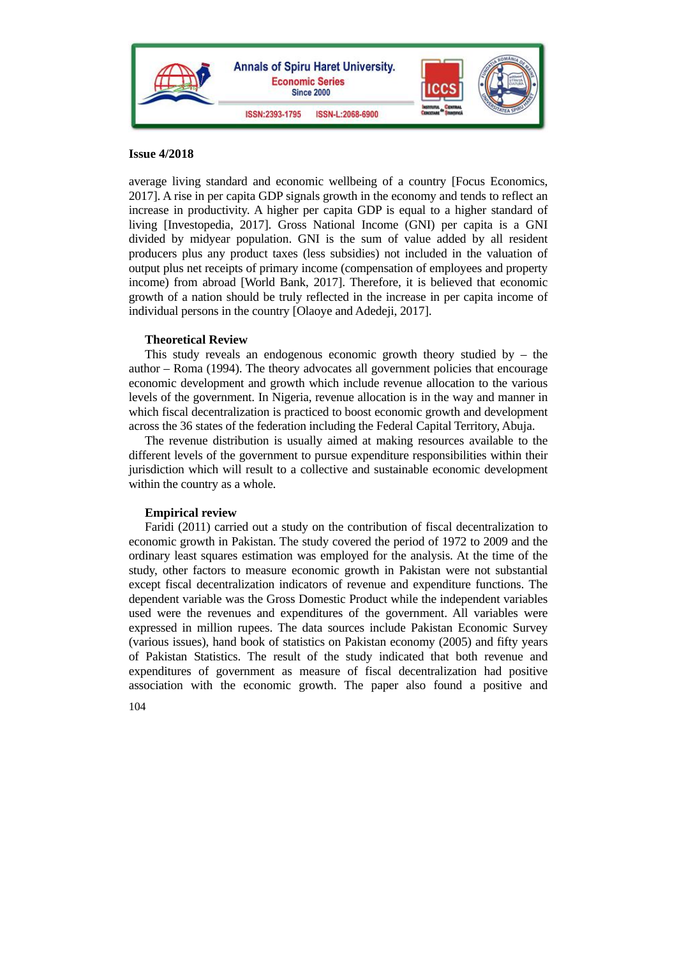

average living standard and economic wellbeing of a country [Focus Economics, 2017]. A rise in per capita GDP signals growth in the economy and tends to reflect an increase in productivity. A higher per capita GDP is equal to a higher standard of living [Investopedia, 2017]. Gross National Income (GNI) per capita is a GNI divided by midyear population. GNI is the sum of value added by all resident producers plus any product taxes (less subsidies) not included in the valuation of output plus net receipts of primary income (compensation of employees and property income) from abroad [World Bank, 2017]. Therefore, it is believed that economic growth of a nation should be truly reflected in the increase in per capita income of individual persons in the country [Olaoye and Adedeji, 2017].

## **Theoretical Review**

This study reveals an endogenous economic growth theory studied by  $-$  the author – Roma (1994). The theory advocates all government policies that encourage economic development and growth which include revenue allocation to the various levels of the government. In Nigeria, revenue allocation is in the way and manner in which fiscal decentralization is practiced to boost economic growth and development across the 36 states of the federation including the Federal Capital Territory, Abuja.

The revenue distribution is usually aimed at making resources available to the different levels of the government to pursue expenditure responsibilities within their jurisdiction which will result to a collective and sustainable economic development within the country as a whole.

## **Empirical review**

Faridi (2011) carried out a study on the contribution of fiscal decentralization to economic growth in Pakistan. The study covered the period of 1972 to 2009 and the ordinary least squares estimation was employed for the analysis. At the time of the study, other factors to measure economic growth in Pakistan were not substantial except fiscal decentralization indicators of revenue and expenditure functions. The dependent variable was the Gross Domestic Product while the independent variables used were the revenues and expenditures of the government. All variables were expressed in million rupees. The data sources include Pakistan Economic Survey (various issues), hand book of statistics on Pakistan economy (2005) and fifty years of Pakistan Statistics. The result of the study indicated that both revenue and expenditures of government as measure of fiscal decentralization had positive association with the economic growth. The paper also found a positive and

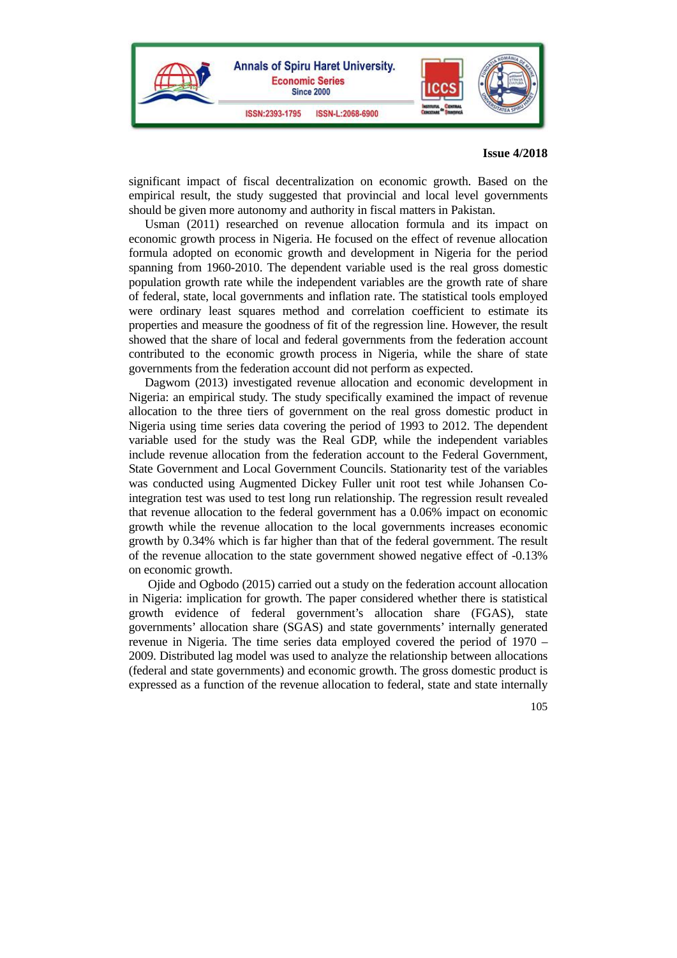

significant impact of fiscal decentralization on economic growth. Based on the empirical result, the study suggested that provincial and local level governments should be given more autonomy and authority in fiscal matters in Pakistan.

Usman (2011) researched on revenue allocation formula and its impact on economic growth process in Nigeria. He focused on the effect of revenue allocation formula adopted on economic growth and development in Nigeria for the period spanning from 1960-2010. The dependent variable used is the real gross domestic population growth rate while the independent variables are the growth rate of share of federal, state, local governments and inflation rate. The statistical tools employed were ordinary least squares method and correlation coefficient to estimate its properties and measure the goodness of fit of the regression line. However, the result showed that the share of local and federal governments from the federation account contributed to the economic growth process in Nigeria, while the share of state governments from the federation account did not perform as expected.

Dagwom (2013) investigated revenue allocation and economic development in Nigeria: an empirical study. The study specifically examined the impact of revenue allocation to the three tiers of government on the real gross domestic product in Nigeria using time series data covering the period of 1993 to 2012. The dependent variable used for the study was the Real GDP, while the independent variables include revenue allocation from the federation account to the Federal Government, State Government and Local Government Councils. Stationarity test of the variables was conducted using Augmented Dickey Fuller unit root test while Johansen Cointegration test was used to test long run relationship. The regression result revealed that revenue allocation to the federal government has a 0.06% impact on economic growth while the revenue allocation to the local governments increases economic growth by 0.34% which is far higher than that of the federal government. The result of the revenue allocation to the state government showed negative effect of -0.13% on economic growth.

 Ojide and Ogbodo (2015) carried out a study on the federation account allocation in Nigeria: implication for growth. The paper considered whether there is statistical growth evidence of federal government's allocation share (FGAS), state governments' allocation share (SGAS) and state governments' internally generated revenue in Nigeria. The time series data employed covered the period of 1970 – 2009. Distributed lag model was used to analyze the relationship between allocations (federal and state governments) and economic growth. The gross domestic product is expressed as a function of the revenue allocation to federal, state and state internally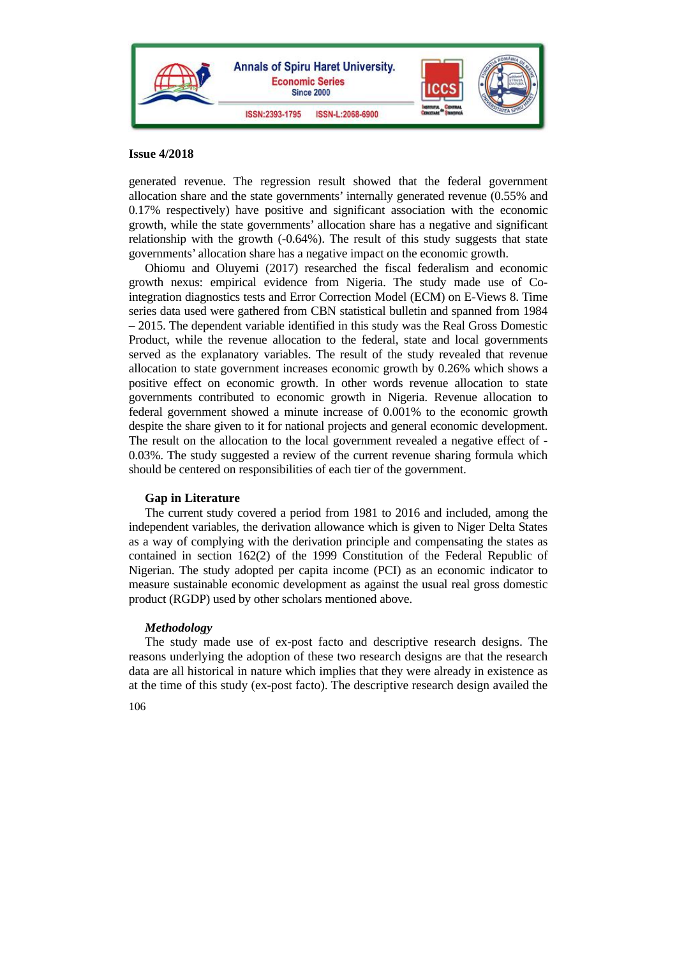

generated revenue. The regression result showed that the federal government allocation share and the state governments' internally generated revenue (0.55% and 0.17% respectively) have positive and significant association with the economic growth, while the state governments' allocation share has a negative and significant relationship with the growth  $(-0.64%)$ . The result of this study suggests that state governments' allocation share has a negative impact on the economic growth.

Ohiomu and Oluyemi (2017) researched the fiscal federalism and economic growth nexus: empirical evidence from Nigeria. The study made use of Cointegration diagnostics tests and Error Correction Model (ECM) on E-Views 8. Time series data used were gathered from CBN statistical bulletin and spanned from 1984 – 2015. The dependent variable identified in this study was the Real Gross Domestic Product, while the revenue allocation to the federal, state and local governments served as the explanatory variables. The result of the study revealed that revenue allocation to state government increases economic growth by 0.26% which shows a positive effect on economic growth. In other words revenue allocation to state governments contributed to economic growth in Nigeria. Revenue allocation to federal government showed a minute increase of 0.001% to the economic growth despite the share given to it for national projects and general economic development. The result on the allocation to the local government revealed a negative effect of - 0.03%. The study suggested a review of the current revenue sharing formula which should be centered on responsibilities of each tier of the government.

## **Gap in Literature**

The current study covered a period from 1981 to 2016 and included, among the independent variables, the derivation allowance which is given to Niger Delta States as a way of complying with the derivation principle and compensating the states as contained in section 162(2) of the 1999 Constitution of the Federal Republic of Nigerian. The study adopted per capita income (PCI) as an economic indicator to measure sustainable economic development as against the usual real gross domestic product (RGDP) used by other scholars mentioned above.

## *Methodology*

The study made use of ex-post facto and descriptive research designs. The reasons underlying the adoption of these two research designs are that the research data are all historical in nature which implies that they were already in existence as at the time of this study (ex-post facto). The descriptive research design availed the

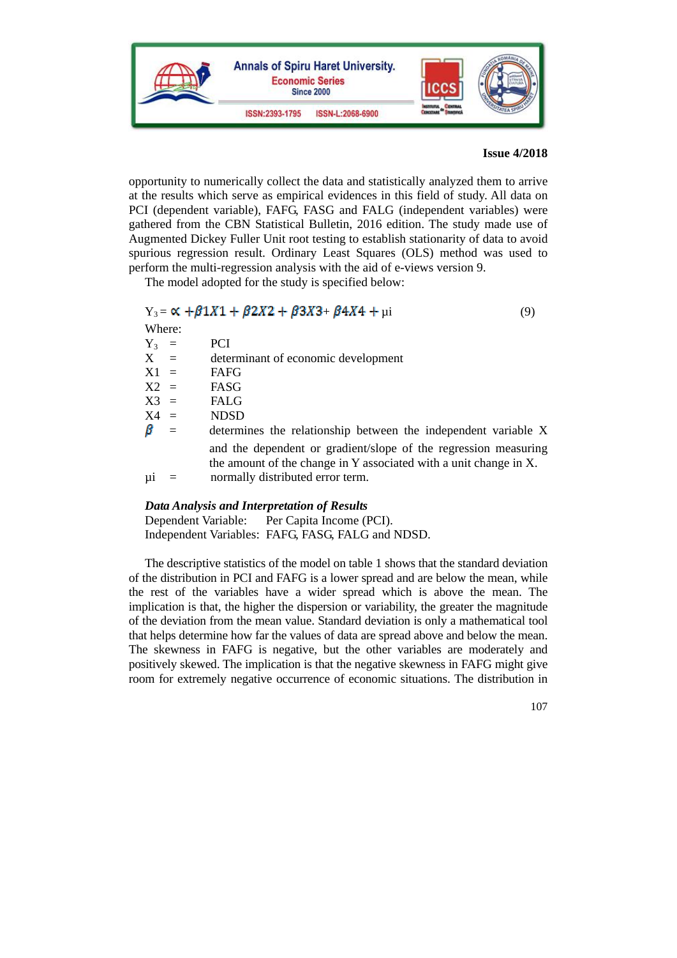

opportunity to numerically collect the data and statistically analyzed them to arrive at the results which serve as empirical evidences in this field of study. All data on PCI (dependent variable), FAFG, FASG and FALG (independent variables) were gathered from the CBN Statistical Bulletin, 2016 edition. The study made use of Augmented Dickey Fuller Unit root testing to establish stationarity of data to avoid spurious regression result. Ordinary Least Squares (OLS) method was used to perform the multi-regression analysis with the aid of e-views version 9.

The model adopted for the study is specified below:

## $Y_3 = \alpha + \beta 1X_1 + \beta 2X_2 + \beta 3X_3 + \beta 4X_4 + \mu i$  (9)

| Where:  |     |                                                                                                                                                                          |
|---------|-----|--------------------------------------------------------------------------------------------------------------------------------------------------------------------------|
| $Y_3 =$ |     | <b>PCI</b>                                                                                                                                                               |
| $X =$   |     | determinant of economic development                                                                                                                                      |
| $X1 =$  |     | FAFG                                                                                                                                                                     |
| $X2 =$  |     | FASG                                                                                                                                                                     |
| $X3 =$  |     | <b>FALG</b>                                                                                                                                                              |
| $X4 =$  |     | <b>NDSD</b>                                                                                                                                                              |
| β       | $=$ | determines the relationship between the independent variable X                                                                                                           |
| μi      |     | and the dependent or gradient/slope of the regression measuring<br>the amount of the change in Y associated with a unit change in X.<br>normally distributed error term. |
|         |     |                                                                                                                                                                          |

## *Data Analysis and Interpretation of Results*

Dependent Variable: Per Capita Income (PCI). Independent Variables: FAFG, FASG, FALG and NDSD.

The descriptive statistics of the model on table 1 shows that the standard deviation of the distribution in PCI and FAFG is a lower spread and are below the mean, while the rest of the variables have a wider spread which is above the mean. The implication is that, the higher the dispersion or variability, the greater the magnitude of the deviation from the mean value. Standard deviation is only a mathematical tool that helps determine how far the values of data are spread above and below the mean. The skewness in FAFG is negative, but the other variables are moderately and positively skewed. The implication is that the negative skewness in FAFG might give room for extremely negative occurrence of economic situations. The distribution in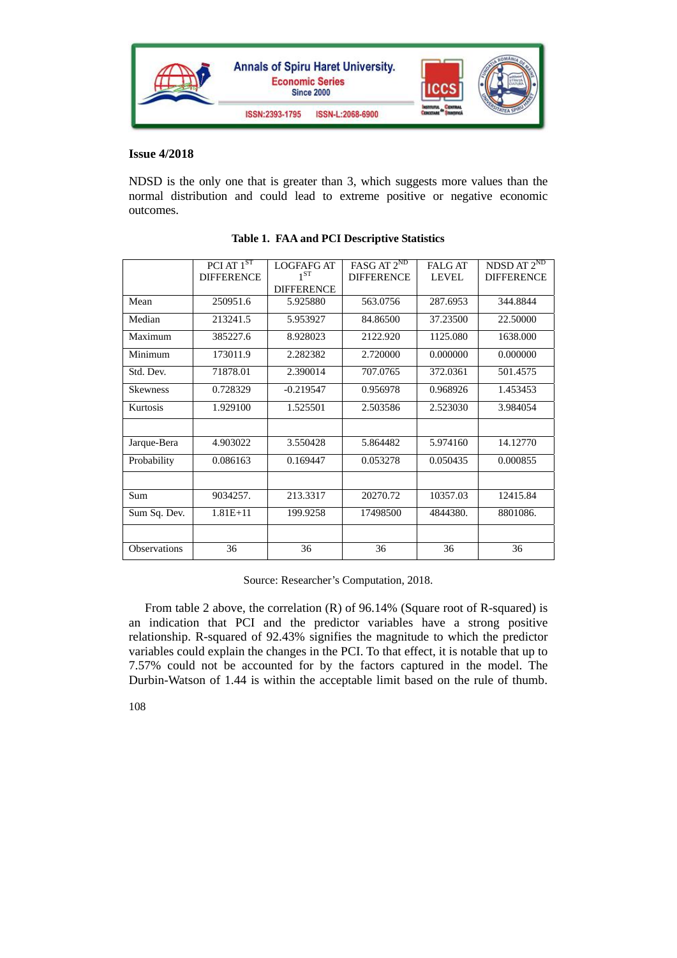

NDSD is the only one that is greater than 3, which suggests more values than the normal distribution and could lead to extreme positive or negative economic outcomes.

|                 | $P\overline{CI AT} 1^{ST}$ |                   | FASG AT 2 <sup>ND</sup> | $NDSD AT 2^{ND}$ |                   |
|-----------------|----------------------------|-------------------|-------------------------|------------------|-------------------|
|                 |                            | <b>LOGFAFG AT</b> |                         | <b>FALG AT</b>   |                   |
|                 | <b>DIFFERENCE</b>          | $1^{ST}$          | <b>DIFFERENCE</b>       | <b>LEVEL</b>     | <b>DIFFERENCE</b> |
|                 |                            | <b>DIFFERENCE</b> |                         |                  |                   |
| Mean            | 250951.6                   | 5.925880          | 563.0756                | 287.6953         | 344.8844          |
| Median          | 213241.5                   | 5.953927          | 84.86500                | 37.23500         | 22.50000          |
| Maximum         | 385227.6                   | 8.928023          | 2122.920                | 1125.080         | 1638.000          |
| Minimum         | 173011.9                   | 2.282382          | 2.720000                | 0.000000         | 0.000000          |
| Std. Dev.       | 71878.01                   | 2.390014          | 707.0765                | 372.0361         | 501.4575          |
| <b>Skewness</b> | 0.728329                   | $-0.219547$       | 0.956978                | 0.968926         | 1.453453          |
| Kurtosis        | 1.929100                   | 1.525501          | 2.503586                | 2.523030         | 3.984054          |
|                 |                            |                   |                         |                  |                   |
| Jarque-Bera     | 4.903022                   | 3.550428          | 5.864482                | 5.974160         | 14.12770          |
| Probability     | 0.086163                   | 0.169447          | 0.053278                | 0.050435         | 0.000855          |
|                 |                            |                   |                         |                  |                   |
| Sum             | 9034257.                   | 213.3317          | 20270.72                | 10357.03         | 12415.84          |
| Sum Sq. Dev.    | $1.81E + 11$               | 199.9258          | 17498500                | 4844380.         | 8801086.          |
|                 |                            |                   |                         |                  |                   |
| Observations    | 36                         | 36                | 36                      | 36               | 36                |

## **Table 1. FAA and PCI Descriptive Statistics**

Source: Researcher's Computation, 2018.

From table 2 above, the correlation (R) of 96.14% (Square root of R-squared) is an indication that PCI and the predictor variables have a strong positive relationship. R-squared of 92.43% signifies the magnitude to which the predictor variables could explain the changes in the PCI. To that effect, it is notable that up to 7.57% could not be accounted for by the factors captured in the model. The Durbin-Watson of 1.44 is within the acceptable limit based on the rule of thumb.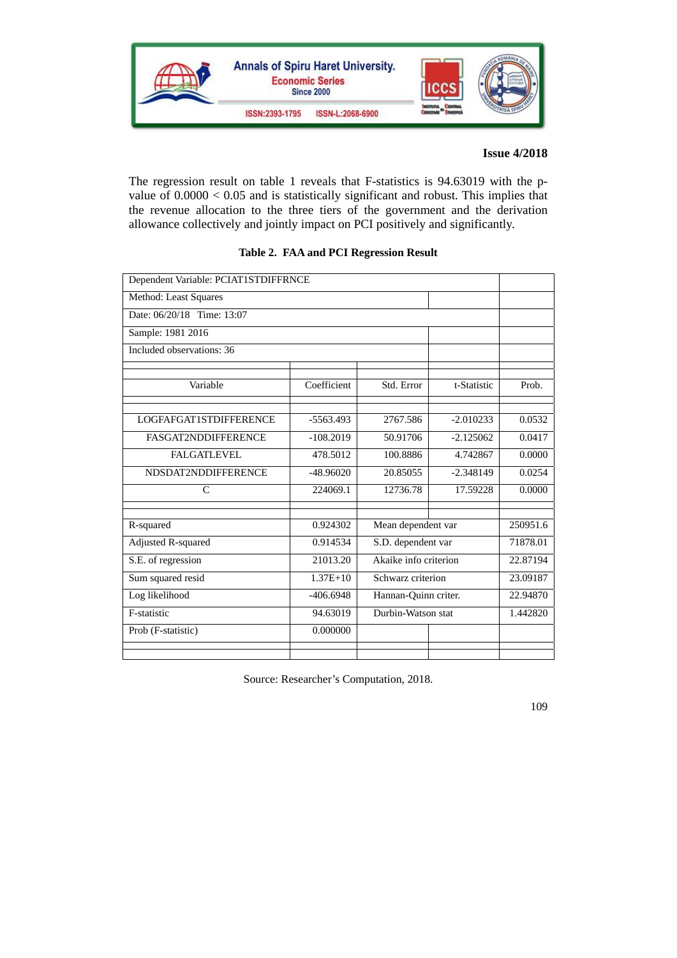

The regression result on table 1 reveals that F-statistics is 94.63019 with the pvalue of 0.0000 < 0.05 and is statistically significant and robust. This implies that the revenue allocation to the three tiers of the government and the derivation allowance collectively and jointly impact on PCI positively and significantly.

| Dependent Variable: PCIAT1STDIFFRNCE |              |                       |             |          |  |  |  |
|--------------------------------------|--------------|-----------------------|-------------|----------|--|--|--|
| Method: Least Squares                |              |                       |             |          |  |  |  |
| Date: 06/20/18 Time: 13:07           |              |                       |             |          |  |  |  |
| Sample: 1981 2016                    |              |                       |             |          |  |  |  |
| Included observations: 36            |              |                       |             |          |  |  |  |
|                                      |              |                       |             |          |  |  |  |
| Variable                             | Coefficient  | Std. Error            | t-Statistic | Prob.    |  |  |  |
|                                      |              |                       |             |          |  |  |  |
| LOGFAFGAT1STDIFFERENCE               | $-5563.493$  | 2767.586              | $-2.010233$ | 0.0532   |  |  |  |
| <b>FASGAT2NDDIFFERENCE</b>           | $-108.2019$  | 50.91706              | $-2.125062$ | 0.0417   |  |  |  |
| <b>FALGATLEVEL</b>                   | 478.5012     | 100.8886              | 4.742867    | 0.0000   |  |  |  |
| NDSDAT2NDDIFFERENCE                  | $-48.96020$  | 20.85055              | $-2.348149$ | 0.0254   |  |  |  |
| $\mathcal{C}$                        | 224069.1     | 12736.78              | 17.59228    | 0.0000   |  |  |  |
|                                      |              |                       |             |          |  |  |  |
| R-squared                            | 0.924302     | Mean dependent var    |             | 250951.6 |  |  |  |
| Adjusted R-squared                   | 0.914534     | S.D. dependent var    |             | 71878.01 |  |  |  |
| S.E. of regression                   | 21013.20     | Akaike info criterion |             | 22.87194 |  |  |  |
| Sum squared resid                    | $1.37E + 10$ | Schwarz criterion     |             | 23.09187 |  |  |  |
| Log likelihood                       | $-406.6948$  | Hannan-Quinn criter.  |             | 22.94870 |  |  |  |
| F-statistic                          | 94.63019     | Durbin-Watson stat    |             | 1.442820 |  |  |  |
| Prob (F-statistic)                   | 0.000000     |                       |             |          |  |  |  |
|                                      |              |                       |             |          |  |  |  |

## **Table 2. FAA and PCI Regression Result**

Source: Researcher's Computation, 2018.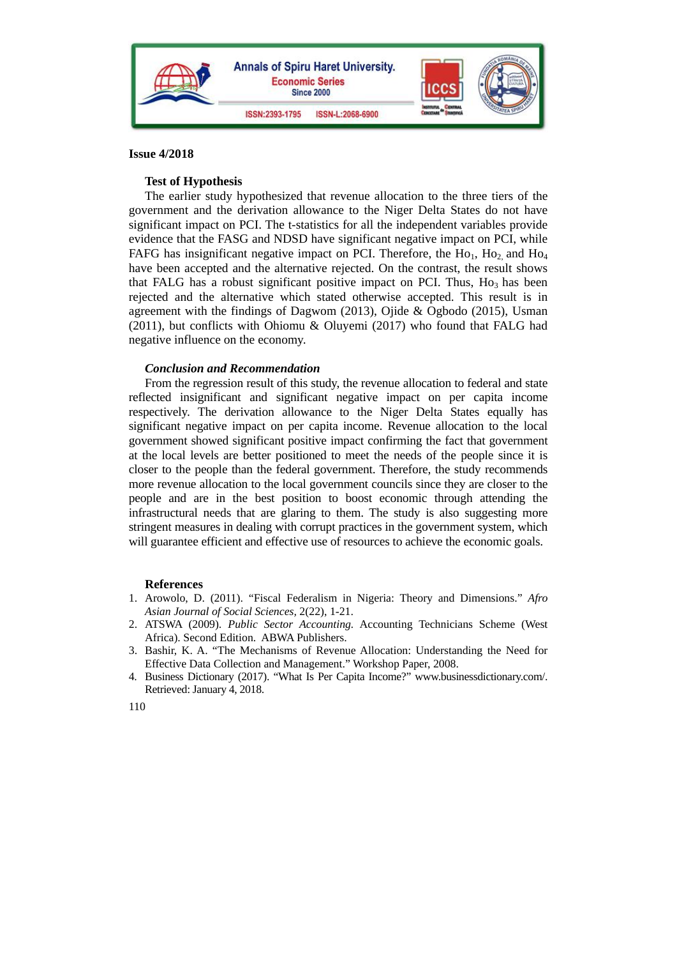

## **Test of Hypothesis**

The earlier study hypothesized that revenue allocation to the three tiers of the government and the derivation allowance to the Niger Delta States do not have significant impact on PCI. The t-statistics for all the independent variables provide evidence that the FASG and NDSD have significant negative impact on PCI, while FAFG has insignificant negative impact on PCI. Therefore, the  $Ho_1$ ,  $Ho_2$  and  $Ho_4$ have been accepted and the alternative rejected. On the contrast, the result shows that FALG has a robust significant positive impact on PCI. Thus, Ho<sub>3</sub> has been rejected and the alternative which stated otherwise accepted. This result is in agreement with the findings of Dagwom (2013), Ojide & Ogbodo (2015), Usman (2011), but conflicts with Ohiomu & Oluyemi (2017) who found that FALG had negative influence on the economy.

## *Conclusion and Recommendation*

From the regression result of this study, the revenue allocation to federal and state reflected insignificant and significant negative impact on per capita income respectively. The derivation allowance to the Niger Delta States equally has significant negative impact on per capita income. Revenue allocation to the local government showed significant positive impact confirming the fact that government at the local levels are better positioned to meet the needs of the people since it is closer to the people than the federal government. Therefore, the study recommends more revenue allocation to the local government councils since they are closer to the people and are in the best position to boost economic through attending the infrastructural needs that are glaring to them. The study is also suggesting more stringent measures in dealing with corrupt practices in the government system, which will guarantee efficient and effective use of resources to achieve the economic goals.

## **References**

- 1. Arowolo, D. (2011). "Fiscal Federalism in Nigeria: Theory and Dimensions." *Afro Asian Journal of Social Sciences,* 2(22), 1-21.
- 2. ATSWA (2009). *Public Sector Accounting.* Accounting Technicians Scheme (West Africa). Second Edition. ABWA Publishers.
- 3. Bashir, K. A. "The Mechanisms of Revenue Allocation: Understanding the Need for Effective Data Collection and Management." Workshop Paper, 2008.
- 4. Business Dictionary (2017). "What Is Per Capita Income?" www.businessdictionary.com/. Retrieved: January 4, 2018.

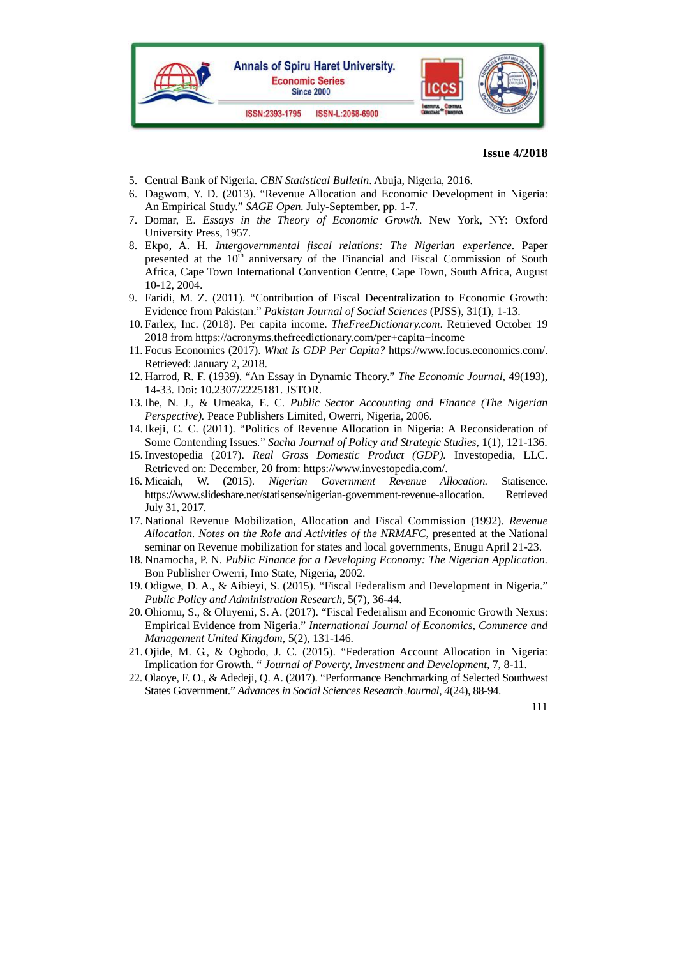

- 5. Central Bank of Nigeria. *CBN Statistical Bulletin*. Abuja, Nigeria, 2016.
- 6. Dagwom, Y. D. (2013). "Revenue Allocation and Economic Development in Nigeria: An Empirical Study." *SAGE Open.* July-September, pp. 1-7.
- 7. Domar, E. *Essays in the Theory of Economic Growth*. New York, NY: Oxford University Press, 1957.
- 8. Ekpo, A. H. *Intergovernmental fiscal relations: The Nigerian experience*. Paper presented at the  $10<sup>th</sup>$  anniversary of the Financial and Fiscal Commission of South Africa, Cape Town International Convention Centre, Cape Town, South Africa, August 10-12, 2004.
- 9. Faridi, M. Z. (2011). "Contribution of Fiscal Decentralization to Economic Growth: Evidence from Pakistan." *Pakistan Journal of Social Sciences* (PJSS), 31(1), 1-13.
- 10. Farlex, Inc. (2018). Per capita income. *TheFreeDictionary.com*. Retrieved October 19 2018 from https://acronyms.thefreedictionary.com/per+capita+income
- 11. Focus Economics (2017). *What Is GDP Per Capita?* https://www.focus.economics.com/. Retrieved: January 2, 2018.
- 12. Harrod, R. F. (1939). "An Essay in Dynamic Theory." *The Economic Journal,* 49(193), 14-33. Doi: 10.2307/2225181. JSTOR.
- 13. Ihe, N. J., & Umeaka, E. C. *Public Sector Accounting and Finance (The Nigerian Perspective).* Peace Publishers Limited, Owerri, Nigeria, 2006.
- 14. Ikeji, C. C. (2011). "Politics of Revenue Allocation in Nigeria: A Reconsideration of Some Contending Issues*.*" *Sacha Journal of Policy and Strategic Studies,* 1(1), 121-136.
- 15. Investopedia (2017). *Real Gross Domestic Product (GDP).* Investopedia, LLC. Retrieved on: December, 20 from: https://www.investopedia.com/.
- 16. Micaiah, W. (2015). *Nigerian Government Revenue Allocation.* Statisence. https://www.slideshare.net/statisense/nigerian-government-revenue-allocation. Retrieved July 31, 2017.
- 17. National Revenue Mobilization, Allocation and Fiscal Commission (1992). *Revenue Allocation. Notes on the Role and Activities of the NRMAFC,* presented at the National seminar on Revenue mobilization for states and local governments, Enugu April 21-23.
- 18. Nnamocha, P. N. *Public Finance for a Developing Economy: The Nigerian Application.*  Bon Publisher Owerri, Imo State, Nigeria, 2002.
- 19. Odigwe, D. A., & Aibieyi, S. (2015). "Fiscal Federalism and Development in Nigeria." *Public Policy and Administration Research*, 5(7), 36-44.
- 20. Ohiomu, S., & Oluyemi, S. A. (2017). "Fiscal Federalism and Economic Growth Nexus: Empirical Evidence from Nigeria." *International Journal of Economics, Commerce and Management United Kingdom*, 5(2), 131-146.
- 21. Ojide, M. G., & Ogbodo, J. C. (2015). "Federation Account Allocation in Nigeria: Implication for Growth. " *Journal of Poverty, Investment and Development,* 7, 8-11.
- 22. Olaoye, F. O., & Adedeji, Q. A. (2017). "Performance Benchmarking of Selected Southwest States Government." *Advances in Social Sciences Research Journal, 4*(24), 88-94.